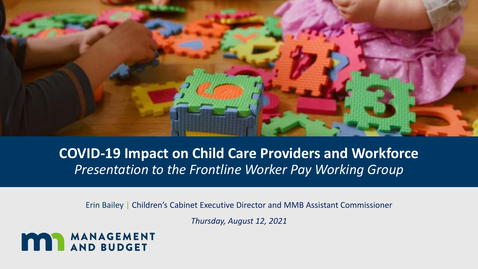

### **COVID-19 Impact on Child Care Providers and Workforce** *Presentation to the Frontline Worker Pay Working Group*

Erin Bailey | Children's Cabinet Executive Director and MMB Assistant Commissioner

*Thursday, August 12, 2021* 

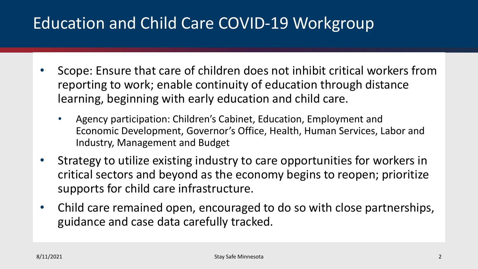## Education and Child Care COVID-19 Workgroup

- Scope: Ensure that care of children does not inhibit critical workers from reporting to work; enable continuity of education through distance learning, beginning with early education and child care.
	- Agency participation: Children's Cabinet, Education, Employment and Economic Development, Governor's Office, Health, Human Services, Labor and Industry, Management and Budget
- Strategy to utilize existing industry to care opportunities for workers in critical sectors and beyond as the economy begins to reopen; prioritize supports for child care infrastructure.
- Child care remained open, encouraged to do so with close partnerships, guidance and case data carefully tracked.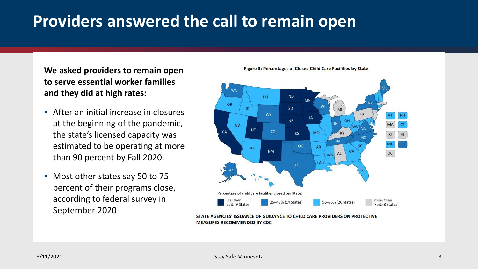## **Providers answered the call to remain open**

**We asked providers to remain open to serve essential worker families and they did at high rates:**

- After an initial increase in closures at the beginning of the pandemic, the state's licensed capacity was estimated to be operating at more than 90 percent by Fall 2020.
- Most other states say 50 to 75 percent of their programs close, according to federal survey in September 2020

Figure 3: Percentages of Closed Child Care Facilities by State



AGENCIES' ISSUANCE OF GUIDANCE TO CHILD CARE PROVIDERS ON PROTECTIVE **MEASURES RECOMMENDED BY CDC**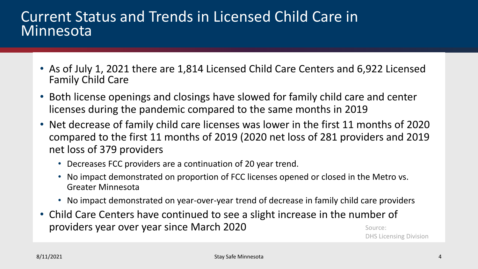### Current Status and Trends in Licensed Child Care in **Minnesota**

- As of July 1, 2021 there are 1,814 Licensed Child Care Centers and 6,922 Licensed Family Child Care
- Both license openings and closings have slowed for family child care and center licenses during the pandemic compared to the same months in 2019
- Net decrease of family child care licenses was lower in the first 11 months of 2020 compared to the first 11 months of 2019 (2020 net loss of 281 providers and 2019 net loss of 379 providers
	- Decreases FCC providers are a continuation of 20 year trend.
	- No impact demonstrated on proportion of FCC licenses opened or closed in the Metro vs. Greater Minnesota
	- No impact demonstrated on year-over-year trend of decrease in family child care providers
- Child Care Centers have continued to see a slight increase in the number of providers year over year since March 2020 Source:

DHS Licensing Division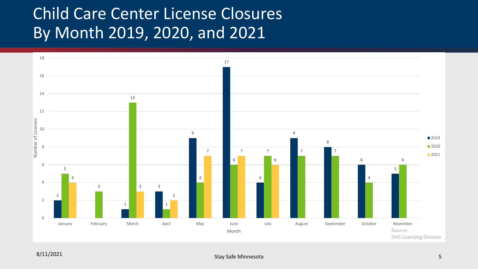## Child Care Center License Closures By Month 2019, 2020, and 2021

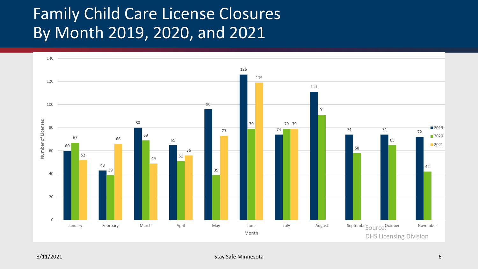# Family Child Care License Closures By Month 2019, 2020, and 2021

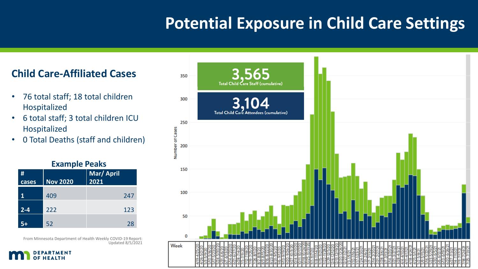### **Potential Exposure in Child Care Settings**

### **Child Care-Affiliated Cases**

- 76 total staff; 18 total children Hospitalized
- 6 total staff; 3 total children ICU Hospitalized
- 0 Total Deaths (staff and children)

**Example Peaks**

| <b>EXAMPLE FEARS</b> |                 |            |
|----------------------|-----------------|------------|
| #                    |                 | Mar/ April |
| cases                | <b>Nov 2020</b> | 2021       |
| 1                    | 409             | 247        |
| $2 - 4$              | 222             | 123        |
|                      | 52              | 28         |

From Minnesota Department of Health Weekly COVID-19 Report: Updated 8/5/2021



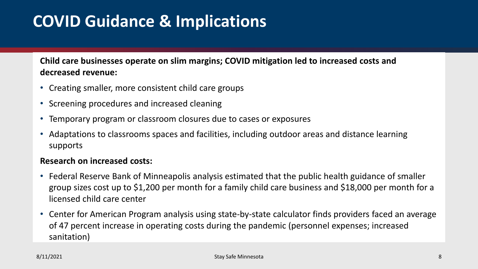## **COVID Guidance & Implications**

**Child care businesses operate on slim margins; COVID mitigation led to increased costs and decreased revenue:**

- Creating smaller, more consistent child care groups
- Screening procedures and increased cleaning
- Temporary program or classroom closures due to cases or exposures
- Adaptations to classrooms spaces and facilities, including outdoor areas and distance learning supports

#### **Research on increased costs:**

- Federal Reserve Bank of Minneapolis analysis estimated that the public health guidance of smaller group sizes cost up to \$1,200 per month for a family child care business and \$18,000 per month for a licensed child care center
- Center for American Program analysis using state-by-state calculator finds providers faced an average of 47 percent increase in operating costs during the pandemic (personnel expenses; increased sanitation)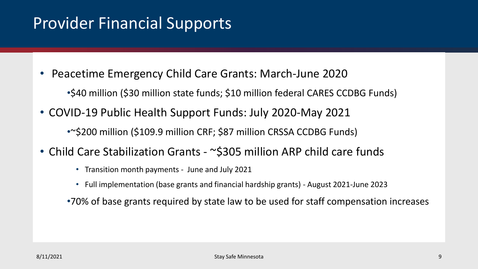### Provider Financial Supports

- Peacetime Emergency Child Care Grants: March-June 2020
	- •\$40 million (\$30 million state funds; \$10 million federal CARES CCDBG Funds)
- COVID-19 Public Health Support Funds: July 2020-May 2021 •~\$200 million (\$109.9 million CRF; \$87 million CRSSA CCDBG Funds)
- Child Care Stabilization Grants ~\$305 million ARP child care funds
	- Transition month payments June and July 2021
	- Full implementation (base grants and financial hardship grants) August 2021-June 2023
	- •70% of base grants required by state law to be used for staff compensation increases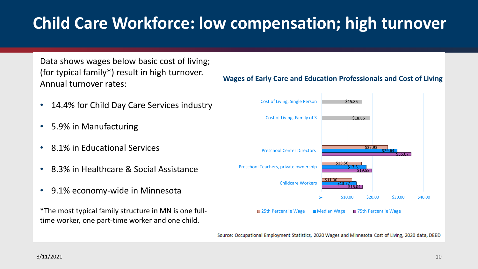# **Child Care Workforce: low compensation; high turnover**

Data shows wages below basic cost of living; (for typical family\*) result in high turnover. Annual turnover rates:

- 14.4% for Child Day Care Services industry
- 5.9% in Manufacturing
- 8.1% in Educational Services
- 8.3% in Healthcare & Social Assistance
- 9.1% economy-wide in Minnesota

\*The most typical family structure in MN is one fulltime worker, one part-time worker and one child.



**Wages of Early Care and Education Professionals and Cost of Living**

Source: Occupational Employment Statistics, 2020 Wages and Minnesota Cost of Living, 2020 data, DEED